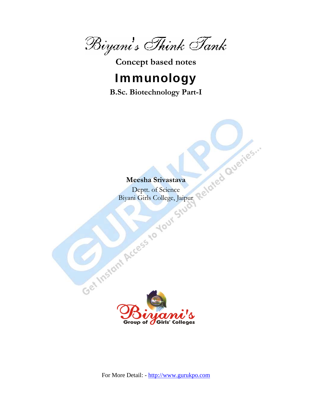$\mathscr{B}$ iyani's Think Tank<br>Concept based notes

# Immunology

**B.Sc. Biotechnology Part-I** 

# **Meesha Srivastava**

Deptt. of Science Biyani Girls College, Jaipur

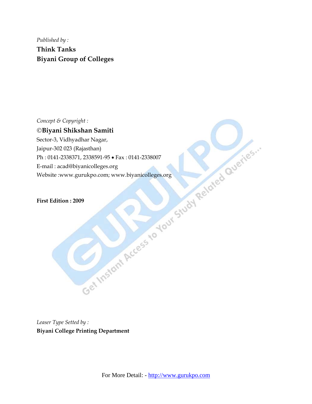*Published by :*  **Think Tanks Biyani Group of Colleges** 

©**Biyani Shikshan Samiti** 

Concept & Copyright :<br>
Chilyaria Shikshan Nagnit<br>
Jector-3, Vidhyadhar Nagni<br>
Jen-302 (Rajasthan)<br>
Ph: 0141-2338971, 2338591-95 • Fax : 0141-2338007<br>
E-mail : acad@biyanicolleges.org<br>
Website :www.gurukpo.com; www.biyanico Sector-3, Vidhyadhar Nagar, Jaipur-302 023 (Rajasthan) Ph : 0141-2338371, 2338591-95 • Fax : 0141-2338007 E-mail : acad@biyanicolleges.org Website :www.gurukpo.com; www.biyanicolleges.org

**First Edition : 2009** 

*Leaser Type Setted by :*  **Biyani College Printing Department**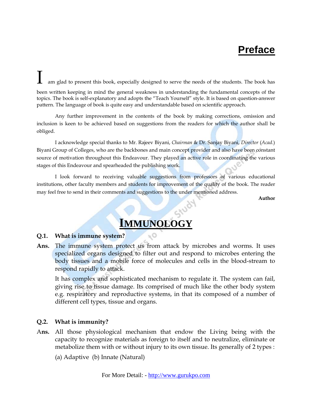# **Preface**

am glad to present this book, especially designed to serve the needs of the students. The book has been written keeping in mind the general weakness in understanding the fundamental concepts of the topics. The book is self-explanatory and adopts the "Teach Yourself" style. It is based on question-answer pattern. The language of book is quite easy and understandable based on scientific approach.

 Any further improvement in the contents of the book by making corrections, omission and inclusion is keen to be achieved based on suggestions from the readers for which the author shall be obliged.

 I acknowledge special thanks to Mr. Rajeev Biyani, *Chairman* & Dr. Sanjay Biyani, *Director* (*Acad.*) Biyani Group of Colleges, who are the backbones and main concept provider and also have been constant source of motivation throughout this Endeavour. They played an active role in coordinating the various stages of this Endeavour and spearheaded the publishing work.

 I look forward to receiving valuable suggestions from professors of various educational institutions, other faculty members and students for improvement of the quality of the book. The reader may feel free to send in their comments and suggestions to the under mentioned address.

**Author**

# **IMMUNOLOGY**

#### **Q.1. What is immune system?**

**Ans.** The immune system protect us from attack by microbes and worms. It uses specialized organs designed to filter out and respond to microbes entering the body tissues and a mobile force of molecules and cells in the blood-stream to respond rapidly to attack.

 It has complex and sophisticated mechanism to regulate it. The system can fail, giving rise to tissue damage. Its comprised of much like the other body system e.g. respiratory and reproductive systems, in that its composed of a number of different cell types, tissue and organs.

#### **Q.2. What is immunity?**

A**ns.** All those physiological mechanism that endow the Living being with the capacity to recognize materials as foreign to itself and to neutralize, eliminate or metabolize them with or without injury to its own tissue. Its generally of 2 types :

(a) Adaptive (b) Innate (Natural)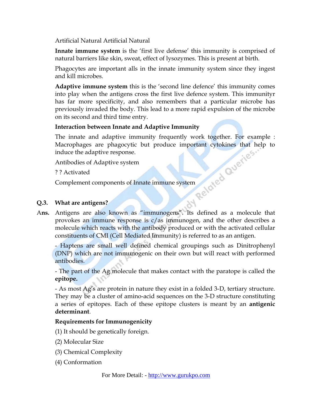Artificial Natural Artificial Natural

**Innate immune system** is the 'first live defense' this immunity is comprised of natural barriers like skin, sweat, effect of lysozymes. This is present at birth.

 Phagocytes are important alls in the innate immunity system since they ingest and kill microbes.

 **Adaptive immune system** this is the 'second line defence' this immunity comes into play when the antigens cross the first live defence system. This immunityr has far more specificity, and also remembers that a particular microbe has previously invaded the body. This lead to a more rapid expulsion of the microbe on its second and third time entry.

#### **Interaction between Innate and Adaptive Immunity**

The innate and adaptive immunity frequently work together. For example :<br>
Macrophages are phagocytic but produce important cytokines that help to<br>
induce the adaptive response.<br>
Antibodies of Adaptive system<br>
? Activated<br> Macrophages are phagocytic but produce important cytokines that help to induce the adaptive response.

Antibodies of Adaptive system

? ? Activated

Complement components of Innate immune system

#### **Q.3. What are antigens?**

A**ns.** Antigens are also known as "immunogens". Its defined as a molecule that provokes an immune response is c/as immunogen, and the other describes a molecule which reacts with the antibody produced or with the activated cellular constituents of CMI (Cell Mediated Immunity) is referred to as an antigen.

 - Haptens are small well defined chemical groupings such as Dinitrophenyl (DNP) which are not immunogenic on their own but will react with performed antibodies.

 - The part of the Ag molecule that makes contact with the paratope is called the **epitope.**

 - As most Ag's are protein in nature they exist in a folded 3-D, tertiary structure. They may be a cluster of amino-acid sequences on the 3-D structure constituting a series of epitopes. Each of these epitope clusters is meant by an **antigenic determinant**.

#### **Requirements for Immunogenicity**

(1) It should be genetically foreign.

- (2) Molecular Size
- (3) Chemical Complexity
- (4) Conformation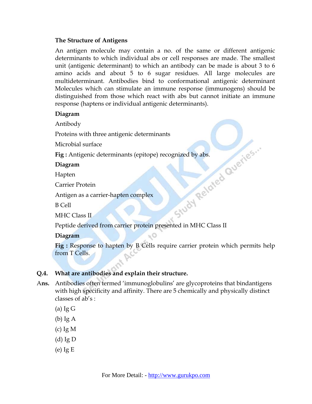#### **The Structure of Antigens**

 An antigen molecule may contain a no. of the same or different antigenic determinants to which individual abs or cell responses are made. The smallest unit (antigenic determinant) to which an antibody can be made is about 3 to 6 amino acids and about 5 to 6 sugar residues. All large molecules are multideterminant. Antibodies bind to conformational antigenic determinant Molecules which can stimulate an immune response (immunogens) should be distinguished from those which react with abs but cannot initiate an immune response (haptens or individual antigenic determinants).

#### **Diagram**

Antibody

Microbial surface

Proteins with three antigenic determinants<br>
Microbial surface<br>
Fig : Antigenic determinants (epitope) recognized by abs.<br>
Diagram<br>
Hapten<br>
Carrier Protein<br>
Antigen as a carrier-hapten complements<br>
B Cell<br>
MHC Class <sup>IT</sup><br>
P **Fig**: Antigenic determinants (epitope) recognized by abs.

#### **Diagram**

Hapten

Carrier Protein

Antigen as a carrier-hapten complex

B Cell

MHC Class II

Peptide derived from carrier protein presented in MHC Class II

 **Diagram** 

**Fig :** Response to hapten by B Cells require carrier protein which permits help from T Cells.

#### **Q.4. What are antibodies and explain their structure.**

- A**ns.** Antibodies often termed 'immunoglobulins' are glycoproteins that bindantigens with high specificity and affinity. There are 5 chemically and physically distinct classes of ab's :
	- $(a)$  Ig G
	- (b) Ig A
	- (c) Ig M
	- (d) Ig D
	- (e) Ig E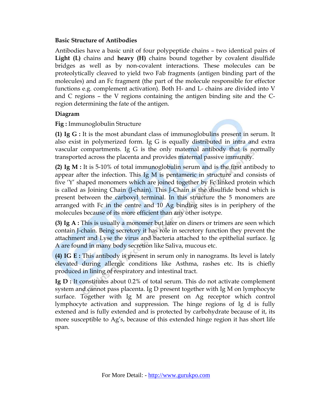#### **Basic Structure of Antibodies**

 Antibodies have a basic unit of four polypeptide chains – two identical pairs of **Light (L)** chains and **heavy (H)** chains bound together by covalent disulfide bridges as well as by non-covalent interactions. These molecules can be proteolytically cleaved to yield two Fab fragments (antigen binding part of the molecules) and an Fc fragment (the part of the molecule responsible for effector functions e.g. complement activation). Both H- and L- chains are divided into V and C regions – the V regions containing the antigen binding site and the Cregion determining the fate of the antigen.

#### **Diagram**

**Fig :** Immunoglobulin Structure

 **(1) Ig G :** It is the most abundant class of immunoglobulins present in serum. It also exist in polymerized form. Ig G is equally distributed in intra and extra vascular compartments. Ig G is the only maternal antibody that is normally transported across the placenta and provides maternal passive immunity.

**(2) Ig M :** It is 5-10% of total immunoglobulin serum and is the first antibody to appear after the infection. This Ig M is pentameric in structure and consists of five 'Y' shaped monomers which are joined together by Fc linked protein which is called as Joining Chain (J-chain). This J-Chain is the disulfide bond which is present between the carboxyl terminal. In this structure the 5 monomers are arranged with Fc in the centre and 10 Ag binding sites is in periphery of the molecules because of its more efficient than any other isotype.

 **(3) Ig A :** This is usually a monomer but later on diners or trimers are seen which contain J-chain. Being secretory it has role in secretory function they prevent the attachment and Lyse the virus and bacteria attached to the epithelial surface. Ig A are found in many body secretion like Saliva, mucous etc.

**(4) IG E :** This antibody is present in serum only in nanograms. Its level is lately elevated during allergic conditions like Asthma, rashes etc. Its is chiefly produced in lining of respiratory and intestinal tract.

**Ig D :** It constitutes about 0.2% of total serum. This do not activate complement system and cannot pass placenta. Ig D present together with Ig M on lymphocyte surface. Together with Ig M are present on Ag receptor which control lymphocyte activation and suppression. The hinge regions of Ig d is fully extened and is fully extended and is protected by carbohydrate because of it, its more susceptible to Ag's, because of this extended hinge region it has short life span.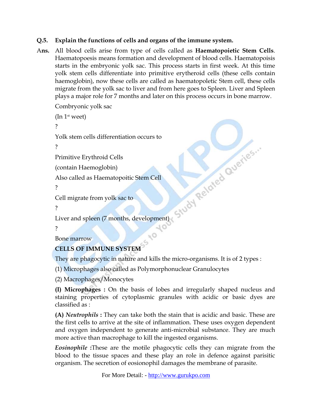# **Q.5. Explain the functions of cells and organs of the immune system.**

A**ns.** All blood cells arise from type of cells called as **Haematopoietic Stem Cells**. Haematopoesis means formation and development of blood cells. Haematopoisis starts in the embryonic yolk sac. This process starts in first week. At this time yolk stem cells differentiate into primitive erytheroid cells (these cells contain haemoglobin), now these cells are called as haematopoletic Stem cell, these cells migrate from the yolk sac to liver and from here goes to Spleen. Liver and Spleen plays a major role for 7 months and later on this process occurs in bone marrow.

```
 Combryonic yolk sac 
(In 1<sup>st</sup> weet) ? 
Liver and spleen (7 months, development)
 Yolk stem cells differentiation occurs to 
 ? 
 Primitive Erythroid Cells 
 (contain Haemoglobin) 
 Also called as Haematopoitic Stem Cell 
 ? 
 Cell migrate from yolk sac to 
 ? 
                                    10 ?
```

```
 Bone marrow
```
# **CELLS OF IMMUNE SYSTEM**

They are phagocytic in nature and kills the micro-organisms. It is of 2 types :

 $O_{j^2}$ 

(1) Microphages also called as Polymorphonuclear Granulocytes

(2) Macrophages/Monocytes

**(I) Microphages :** On the basis of lobes and irregularly shaped nucleus and staining properties of cytoplasmic granules with acidic or basic dyes are classified as :

**(A)** *Neutrophils* **:** They can take both the stain that is acidic and basic. These are the first cells to arrive at the site of inflammation. These uses oxygen dependent and oxygen independent to generate anti-microbial substance. They are much more active than macrophage to kill the ingested organisms.

*Eosinophile* **:**These are the motile phagocytic cells they can migrate from the blood to the tissue spaces and these play an role in defence against parisitic organism. The secretion of eosionophil damages the membrane of parasite.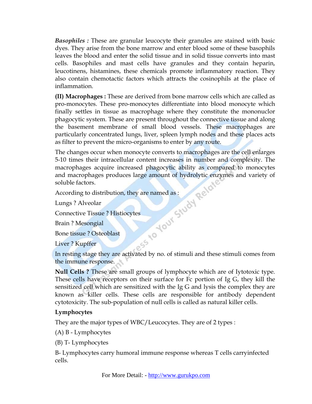*Basophiles :* These are granular leucocyte their granules are stained with basic dyes. They arise from the bone marrow and enter blood some of these basophils leaves the blood and enter the solid tissue and in solid tissue converts into mast cells. Basophiles and mast cells have granules and they contain heparin, leucotinens, histamines, these chemicals promote inflammatory reaction. They also contain chemotactic factors which attracts the cosinophils at the place of inflammation.

 **(II) Macrophages :** These are derived from bone marrow cells which are called as pro-monocytes. These pro-monocytes differentiate into blood monocyte which finally settles in tissue as macrophage where they constitute the mononuclor phagocytic system. These are present throughout the connective tissue and along the basement membrane of small blood vessels. These macrophages are particularly concentrated lungs, liver, spleen lymph nodes and these places acts as filter to prevent the micro-organisms to enter by any route.

 The changes occur when monocyte converts to macrophages are the cell enlarges 5-10 times their intracellular content increases in number and complexity. The macrophages acquire increased phagocytic ability as compared to monocytes<br>and macrophages produces large amount of hydrolytic enzymes and variety of<br>soluble factors.<br>According to distribution, they are named as :<br>Lungs ? A and macrophages produces large amount of hydrolytic enzymes and variety of soluble factors.

According to distribution, they are named as :

Lungs ? Alveolar

Connective Tissue ? Histiocytes

Brain ? Mesongial

Bone tissue ? Osteoblast

Liver ? Kupffer

 In resting stage they are activated by no. of stimuli and these stimuli comes from the immune response.

**Null Cells ?** These are small groups of lymphocyte which are of Iytotoxic type. These cells have receptors on their surface for Fc portion of Ig G, they kill the sensitized cell which are sensitized with the Ig G and lysis the complex they are known as killer cells. These cells are responsible for antibody dependent cytotoxicity. The sub-population of null cells is called as natural killer cells.

#### **Lymphocytes**

They are the major types of WBC/Leucocytes. They are of 2 types :

(A) B - Lymphocytes

(B) T- Lymphocytes

 B- Lymphocytes carry humoral immune response whereas T cells carryinfected cells.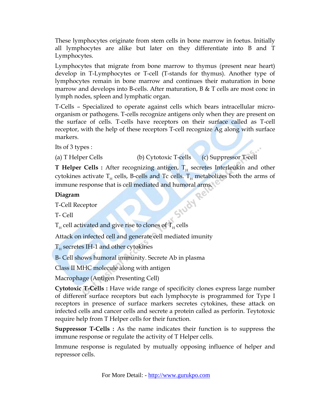These lymphocytes originate from stem cells in bone marrow in foetus. Initially all lymphocytes are alike but later on they differentiate into B and T Lymphocytes.

 Lymphocytes that migrate from bone marrow to thymus (present near heart) develop in T-Lymphocytes or T-cell (T-stands for thymus). Another type of lymphocytes remain in bone marrow and continues their maturation in bone marrow and develops into B-cells. After maturation,  $B \& T$  cells are most conc in lymph nodes, spleen and lymphatic organ.

 T-Cells – Specialized to operate against cells which bears intracellular microorganism or pathogens. T-cells recognize antigens only when they are present on the surface of cells. T-cells have receptors on their surface called as T-cell receptor, with the help of these receptors T-cell recognize Ag along with surface markers.

Its of 3 types :

(a) T Helper Cells (b) Cytotoxic T-cells (c) Suppressor T-cell

**T Helper Cells :** After recognizing antigen,  $T_H$  secretes Interleukin and other cytokines activate  $T_H$  cells, B-cells and Tc cells.  $T_H$  metabolizes both the arms of immune response that is cell mediated and humoral arms.<br> **Diagram**<br>
T-Cell Receptor<br>
T- Cell

# **Diagram**

T-Cell Receptor

T- Cell

 $T_H$  cell activated and give rise to clones of  $T_H$  cells

Attack on infected cell and generate cell mediated imunity

 $T_H$  secretes IH-1 and other cytokines

B- Cell shows humoral immunity. Secrete Ab in plasma

Class II MHC molecule along with antigen

Macrophage (Antigen Presenting Cell)

**Cytotoxic T-Cells :** Have wide range of specificity clones express large number of different surface receptors but each lymphocyte is programmed for Type I receptors in presence of surface markers secretes cytokines, these attack on infected cells and cancer cells and secrete a protein called as perforin. Teytotoxic require help from T Helper cells for their function.

**Suppressor T-Cells :** As the name indicates their function is to suppress the immune response or regulate the activity of T Helper cells.

 Immune response is regulated by mutually opposing influence of helper and repressor cells.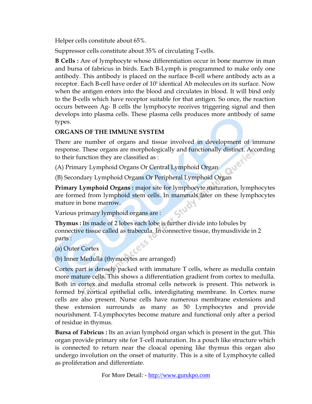Helper cells constitute about 65%.

Suppressor cells constitute about 35% of circulating T-cells.

**B Cells :** Are of lymphocyte whose differentiation occur in bone marrow in man and bursa of fabricus in birds. Each B-Lymph is programmed to make only one antibody. This antibody is placed on the surface B-cell where antibody acts as a receptor. Each B-cell have order of 10<sup>5</sup> identical Ab molecules on its surface. Now when the antigen enters into the blood and circulates in blood. It will bind only to the B-cells which have receptor suitable for that antigen. So once, the reaction occurs between Ag- B cells the lymphocyte receives triggering signal and then develops into plasma cells. These plasma cells produces more antibody of same types.

# **ORGANS OF THE IMMUNE SYSTEM**

 There are number of organs and tissue involved in development of immune response. These organs are morphologically and functionally distinct. According to their function they are classified as :

(A) Primary Lymphoid Organs Or Central Lymphoid Organ

(B) Secondary Lymphoid Organs Or Peripheral Lymphoid Organ

**Primary Lymphoid Organs :** major site for lymphocyte maturation, lymphocytes are formed from lymphoid stem cells. In mammals later on these lymphocytes mature in bone marrow.

Various primary lymphoid organs are :

 **Thymus :** Its made of 2 lobes each lobe is further divide into lobules by connective tissue called as trabecula. In connective tissue, thymusdivide in 2 parts :

(a) Outer Cortex

(b) Inner Medulla (thymocytes are arranged)

 Cortex part is densely packed with immature T cells, where as medulla contain more mature cells. This shows a differentiation gradient from cortex to medulla. Both in cortex and medulla stromal cells network is present. This network is formed by cortical epithelial cells, interdigitating membrane. In Cortex nurse cells are also present. Nurse cells have numerous membrane extensions and these extension surrounds as many as 50 Lymphocytes and provide nourishment. T-Lymphocytes become mature and functional only after a period of residue in thymus.

**Bursa of Fabricus :** Its an avian lymphoid organ which is present in the gut. This organ provide primary site for T-cell maturation. Its a pouch like structure which is connected to return near the cloacal opening like thymus this organ also undergo involution on the onset of maturity. This is a site of Lymphocyte called as proliferation and differentiate.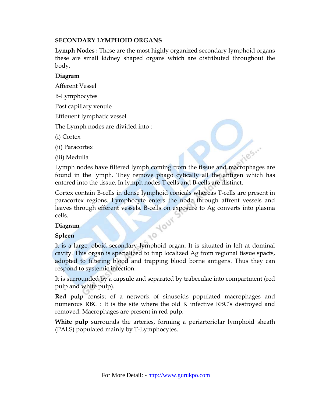#### **SECONDARY LYMPHOID ORGANS**

**Lymph Nodes :** These are the most highly organized secondary lymphoid organs these are small kidney shaped organs which are distributed throughout the body.

#### **Diagram**

Afferent Vessel

B-Lymphocytes

Post capillary venule

Effleuent lymphatic vessel

The Lymph nodes are divided into :

(i) Cortex

(ii) Paracortex

(iii) Medulla

 Lymph nodes have filtered lymph coming from the tissue and macrophages are found in the lymph. They remove phago cytically all the antigen which has entered into the tissue. In lymph nodes T cells and B-cells are distinct.

105.1

 Cortex contain B-cells in dense lymphoid conicals whereas T-cells are present in paracortex regions. Lymphocyte enters the node through affrent vessels and leaves through efferent vessels. B-cells on exposure to Ag converts into plasma cells. Your

#### **Diagram**

# **Spleen**

 It is a large, oboid secondary lymphoid organ. It is situated in left at dominal cavity. This organ is specialized to trap localized Ag from regional tissue spacts, adopted to filtering blood and trapping blood borne antigens. Thus they can respond to systemic infection.

0x

 It is surrounded by a capsule and separated by trabeculae into compartment (red pulp and white pulp).

**Red pulp** consist of a network of sinusoids populated macrophages and numerous RBC : It is the site where the old K infective RBC's destroyed and removed. Macrophages are present in red pulp.

**White pulp** surrounds the arteries, forming a periarteriolar lymphoid sheath (PALS) populated mainly by T-Lymphocytes.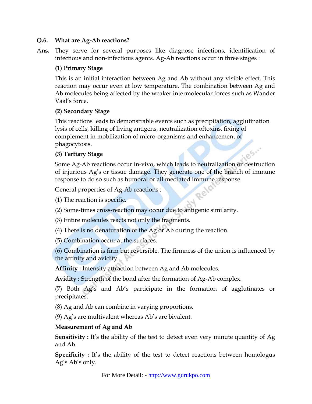#### **Q.6. What are Ag-Ab reactions?**

A**ns.** They serve for several purposes like diagnose infections, identification of infectious and non-infectious agents. Ag-Ab reactions occur in three stages :

# **(1) Primary Stage**

 This is an initial interaction between Ag and Ab without any visible effect. This reaction may occur even at low temperature. The combination between Ag and Ab molecules being affected by the weaker intermolecular forces such as Wander Vaal's force.

## **(2) Secondary Stage**

 This reactions leads to demonstrable events such as precipitation, agglutination lysis of cells, killing of living antigens, neutralization oftoxins, fixing of complement in mobilization of micro-organisms and enhancement of phagocytosis. es.

# **(3) Tertiary Stage**

 Some Ag-Ab reactions occur in-vivo, which leads to neutralization or destruction of injurious Ag's or tissue damage. They generate one of the branch of immune response to do so such as humoral or all mediated immune response.

General properties of Ag-Ab reactions :

(1) The reaction is specific.

(2) Some-times cross-reaction may occur due to antigenic similarity.

(3) Entire molecules reacts not only the fragments.

(4) There is no denaturation of the Ag or Ab during the reaction.

(5) Combination occur at the surfaces.

 (6) Combination is firm but reversible. The firmness of the union is influenced by the affinity and avidity.

**Affinity :** Intensity attraction between Ag and Ab molecules.

**Avidity :** Strength of the bond after the formation of Ag-Ab complex.

 (7) Both Ag's and Ab's participate in the formation of agglutinates or precipitates.

(8) Ag and Ab can combine in varying proportions.

(9) Ag's are multivalent whereas Ab's are bivalent.

# **Measurement of Ag and Ab**

**Sensitivity :** It's the ability of the test to detect even very minute quantity of Ag and Ab.

**Specificity :** It's the ability of the test to detect reactions between homologus Ag's Ab's only.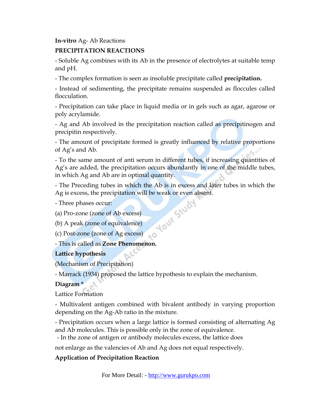#### **In-vitro** Ag- Ab Reactions

## **PRECIPITATION REACTIONS**

 - Soluble Ag combines with its Ab in the presence of electrolytes at suitable temp and pH.

- The complex formation is seen as insoluble precipitate called **precipitation.**

 - Instead of sedimenting, the precipitate remains suspended as floccules called flocculation.

 - Precipitation can take place in liquid media or in gels such as agar, agarose or poly acrylamide.

 - Ag and Ab involved in the precipitation reaction called as precipitinogen and precipitin respectively.

 - The amount of precipitate formed is greatly influenced by relative proportions of Ag's and Ab.

 - To the same amount of anti serum in different tubes, if increasing quantities of Ag's are added, the precipitation occurs abundantly in one of the middle tubes, in which Ag and Ab are in optimal quantity.

 - The Preceding tubes in which the Ab is in excess and later tubes in which the Ag is excess, the precipitation will be weak or even absent.<br>- Three phases occur:<br>(a) Pro-zone (zone of Ab excess)<br>(b) A peak (zone of equivalent)<br>(c) Post

- Three phases occur:

(a) Pro-zone (zone of Ab excess)

(b) A peak (zone of equivalence)

(c) Post-zone (zone of Ag excess)

- This is called as **Zone Phenomenon.**

#### **Lattice hypothesis**

(Mechanism of Precipitation)

- Marrack (1934) proposed the lattice hypothesis to explain the mechanism.

#### **Diagram \***

Lattice Formation

 - Multivalent antigen combined with bivalent antibody in varying proportion depending on the Ag-Ab ratio in the mixture.

 - Precipitation occurs when a large lattice is formed consisting of alternating Ag and Ab molecules. This is possible only in the zone of equivalence.

- In the zone of antigen or antibody molecules excess, the lattice does

not enlarge as the valencies of Ab and Ag does not equal respectively.

# **Application of Precipitation Reaction**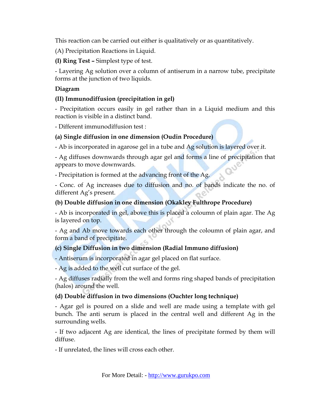This reaction can be carried out either is qualitatively or as quantitatively.

(A) Precipitation Reactions in Liquid.

**(I) Ring Test –** Simplest type of test.

 - Layering Ag solution over a column of antiserum in a narrow tube, precipitate forms at the junction of two liquids.

# **Diagram**

# **(II) Immunodiffusion (precipitation in gel)**

 - Precipitation occurs easily in gel rather than in a Liquid medium and this reaction is visible in a distinct band.

- Different immunodiffusion test :

# **(a) Single diffusion in one dimension (Oudin Procedure)**

- Ab is incorporated in agarose gel in a tube and Ag solution is layered over it.

 - Ag diffuses downwards through agar gel and forms a line of precipitation that appears to move downwards.

- Precipitation is formed at the advancing front of the Ag.

 - Conc. of Ag increases due to diffusion and no. of bands indicate the no. of different Ag's present.

# **(b) Double diffusion in one dimension (Okakley Fulthrope Procedure)**

 - Ab is incorporated in gel, above this is placed a coloumn of plain agar. The Ag is layered on top.

 - Ag and Ab move towards each other through the coloumn of plain agar, and form a band of precipitate.

# **(c) Single Diffusion in two dimension (Radial Immuno diffusion)**

- Antiserum is incorporated in agar gel placed on flat surface.

- Ag is added to the well cut surface of the gel.

 - Ag diffuses radially from the well and forms ring shaped bands of precipitation (halos) around the well.

# **(d) Double diffusion in two dimensions (Ouchter long technique)**

 - Agar gel is poured on a slide and well are made using a template with gel bunch. The anti serum is placed in the central well and different Ag in the surrounding wells.

 - If two adjacent Ag are identical, the lines of precipitate formed by them will diffuse.

- If unrelated, the lines will cross each other.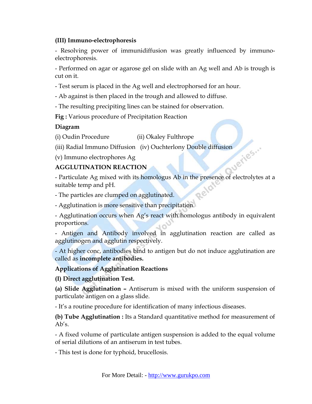#### **(III) Immuno-electrophoresis**

 - Resolving power of immunidiffusion was greatly influenced by immunoelectrophoresis.

 - Performed on agar or agarose gel on slide with an Ag well and Ab is trough is cut on it.

- Test serum is placed in the Ag well and electrophorsed for an hour.

- Ab against is then placed in the trough and allowed to diffuse.

- The resulting precipiting lines can be stained for observation.

**Fig :** Various procedure of Precipitation Reaction

## **Diagram**

(i) Oudin Procedure (ii) Okaley Fulthrope

(iii) Radial Immuno Diffusion (iv) Ouchterlony Double diffusion (v) Immuno electrophores Ag<br>AGGLUTINATION REACTE

(v) Immuno electrophores Ag

# **AGGLUTINATION REACTION**

 - Particulate Ag mixed with its homologus Ab in the presence of electrolytes at a suitable temp and pH.

- The particles are clumped on agglutinated.

- Agglutination is more sensitive than precipitation.

 - Agglutination occurs when Ag's react with homologus antibody in equivalent proportions.

 - Antigen and Antibody involved in agglutination reaction are called as agglutinogen and agglutin respectively.

 - At higher conc, antibodies bind to antigen but do not induce agglutination are called as **incomplete antibodies.**

#### **Applications of Agglutination Reactions**

 **(I) Direct agglutination Test.** 

**(a) Slide Agglutination –** Antiserum is mixed with the uniform suspension of particulate antigen on a glass slide.

- It's a routine procedure for identification of many infectious diseases.

**(b) Tube Agglutination :** Its a Standard quantitative method for measurement of Ab's.

 - A fixed volume of particulate antigen suspension is added to the equal volume of serial dilutions of an antiserum in test tubes.

- This test is done for typhoid, brucellosis.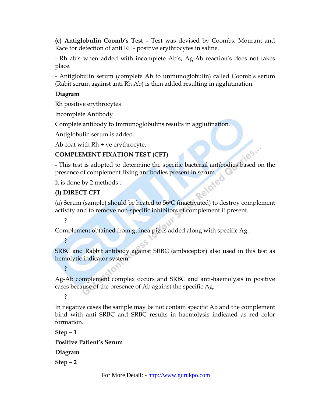**(c) Antiglobulin Coomb's Test –** Test was devised by Coombs, Mourant and Race for detection of anti RH- positive erythrocytes in saline.

 - Rh ab's when added with incomplete Ab's, Ag-Ab reaction's does not takes place.

 - Antiglobulin serum (complete Ab to unmunoglobulin) called Coomb's serum (Rabit serum against anti Rh Ab) is then added resulting in agglutination.

## **Diagram**

Rh positive erythrocytes

Incomplete Antibody

Complete antibody to Immunoglobulins results in agglutination.

Antiglobulin serum is added.

Ab coat with  $Rh + ve$  erythrocyte.

# **COMPLEMENT FIXATION TEST (CFT)**

185. - This test is adopted to determine the specific bacterial antibodies based on the presence of complement fixing antibodies present in serum.<br>It is done by 2 methods :<br>(I) DIRECT CFT

It is done by 2 methods :

# **(I) DIRECT CFT**

(a) Serum (sample) should be heated to  $56^{\circ}$ C (inactivated) to destroy complement activity and to remove non-specific inhibitors of complement if present.

?

?

?

Complement obtained from guinea pig is added along with specific Ag.

 SRBC and Rabbit antibody against SRBC (amboceptor) also used in this test as hemolytic indicator system.

 Ag-Ab complement complex occurs and SRBC and anti-haemolysis in positive cases because of the presence of Ab against the specific Ag.

?

 In negative cases the sample may be not contain specific Ab and the complement bind with anti SRBC and SRBC results in haemolysis indicated as red color formation.

 **Step – 1 Positive Patient's Serum Diagram Step – 2**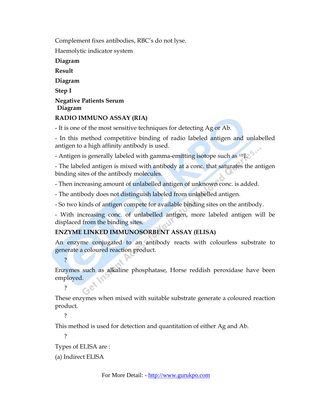Complement fixes antibodies, RBC's do not lyse.

Haemolytic indicator system

 **Diagram** 

 **Result** 

 **Diagram** 

 **Step I** 

#### **Negative Patients Serum Diagram**

# **RADIO IMMUNO ASSAY (RIA)**

- It is one of the most sensitive techniques for detecting Ag or Ab.

 - In this method competitive binding of radio labeled antigen and unlabelled antigen to a high affinity antibody is used.

- Antigen is generally labeled with gamma-emitting isotope such as  $125$ I.

 - The labeled antigen is mixed with antibody at a conc. that saturates the antigen binding sites of the antibody molecules.

- Then increasing amount of unlabelled antigen of unknown conc. is added.

- The antibody does not distinguish labeled from unlabelled antigen.

- So two kinds of antigen compete for available binding sites on the antibody.

 - With increasing conc. of unlabelled antigen, more labeled antigen will be displaced from the binding sites.

# **ENZYME LINKED IMMUNOSORBENT ASSAY (ELISA)**

 An enzyme conjugated to an antibody reacts with colourless substrate to generate a coloured reaction product.

 Enzymes such as alkaline phosphatase, Horse reddish peroxidase have been employed.

 These enzymes when mixed with suitable substrate generate a coloured reaction product.

?

**2** 

?

This method is used for detection and quantitation of either Ag and Ab.

?

Types of ELISA are :

(a) Indirect ELISA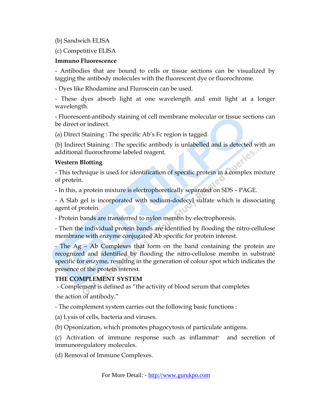(b) Sandwich ELISA

(c) Competitive ELISA

#### **Immuno Fluorescence**

 - Antibodies that are bound to cells or tissue sections can be visualized by tagging the antibody molecules with the fluorescent dye or fluorochrome.

- Dyes like Rhodamine and Fluroscein can be used.

 - These dyes absorb light at one wavelength and emit light at a longer wavelength.

 - Fluorescent-antibody staining of cell membrane molecular or tissue sections can be direct or indirect.

(a) Direct Staining : The specific Ab's Fc region is tagged.

 (b) Indirect Staining : The specific antibody is unlabelled and is detected with an additional fluorochrome labeled reagent.

#### **Western Blotting**

 - This technique is used for identification of specific protein in a complex mixture of protein.

- In this, a protein mixture is electrophoretically separated on SDS – PAGE.

 - A Slab gel is incorporated with sodium-dodecyl sulfate which is dissociating agent of protein.

- Protein bands are transferred to nylon membn by electrophoresis.

 - Then the individual protein bands are identified by flooding the nitro-cellulose membrane with enzyme conjugated Ab specific for protein interest.

 - The Ag – Ab Complexes that form on the band containing the protein are recognized and identified by flooding the nitro-cellulose membn in substrate specific for enzyme, resulting in the generation of colour spot which indicates the presence of the protein interest.

#### **THE COMPLEMENT SYSTEM**

- Complement is defined as "the activity of blood serum that completes the action of antibody."

- The complement system carries out the following basic functions :

(a) Lysis of cells, bacteria and viruses.

(b) Opsonization, which promotes phagocytosis of particulate antigens.

(c) Activation of immune response such as inflammat<sup>n</sup> and secretion of immunoregulatory molecules.

(d) Removal of Immune Complexes.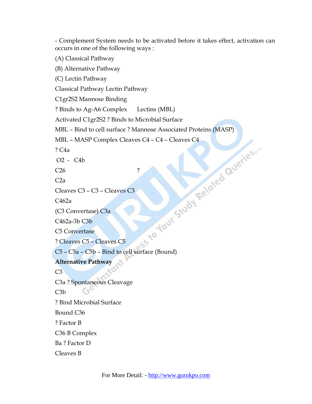- Complement System needs to be activated before it takes effect, activation can occurs in one of the following ways :

(A) Classical Pathway

(B) Alternative Pathway

(C) Lectin Pathway

Classical Pathway Lectin Pathway

C1gr2S2 Mannose Binding

? Binds to Ag-A6 Complex Lectins (MBL)

Activated C1gr2S2 ? Binds to Microbial Surface

MBL – Bind to cell surface ? Mannose Associated Proteins (MASP)<br>
MBL – MASP Complex Cleaves C4 – C4 – Cleaves C4<br>
? C4a<br>
226<br>
C2a<br>
Cleaves C3 – C3 – Cleaves C3<br>
C462a<br>
(C3 Convertase) C3a<br>
C462a-3b C3b<br>
C5 Convertase<br>
? Cl

 $55$ 

```
MBL - MASP Complex Cleaves C4 - C4 - Cleaves C4
```
? C4a

O2 - C4b

C<sub>26</sub> ?

 $C2a$ 

```
 Cleaves C3 – C3 – Cleaves C3
```
C462a

(C3 Convertase) C3a

C462a-3b C3b

C5 Convertase

? Cleaves C5 – Cleaves C5

C5 – C5a – C5b – Bind to cell surface (Bound)

 **Alternative Pathway** 

 $C3$ 

C3a ? Spontaneous Cleavage

C3b

? Bind Microbial Surface

Bound C36

? Factor B

C36 B Complex

Ba ? Factor D

Cleaves B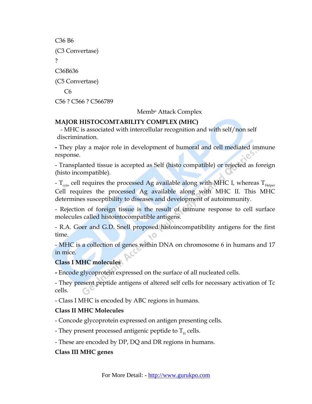C36 B6 (C3 Convertase) ? C36B636 (C5 Convertase) C6 C56 ? C566 ? C566789

Memb<sup>n</sup> Attack Complex

#### **MAJOR HISTOCOMTABILITY COMPLEX (MHC)**

- MHC is associated with intercellular recognition and with self/non self discrimination.

 **-** They play a major role in development of humoral and cell mediated immune response.

 - Transplanted tissue is accepted as Self (histo compatible) or rejected as foreign (histo incompatible).

-  $T_{\text{cyc}}$  cell requires the processed Ag available along with MHC I, whereas  $T_{\text{Heiner}}$ Cell requires the processed Ag available along with MHC II. This MHC determines susceptibility to diseases and development of autoimmunity.

 - Rejection of foreign tissue is the result of immune response to cell surface molecules called histointocompatible antigens.

 - R.A. Goer and G.D. Snell proposed histoincompatibility antigens for the first time.

 - MHC is a collection of genes within DNA on chromosome 6 in humans and 17 in mice.

#### **Class I MHC molecules**

 **-** Encode glycoprotein expressed on the surface of all nucleated cells.

 - They present peptide antigens of altered self cells for necessary activation of Tc cells.

- Class I MHC is encoded by ABC regions in humans.

# **Class II MHC Molecules**

- Concode glycoprotein expressed on antigen presenting cells.

- They present processed antigenic peptide to  $T_H$  cells.

- These are encoded by DP, DQ and DR regions in humans.

# **Class III MHC genes**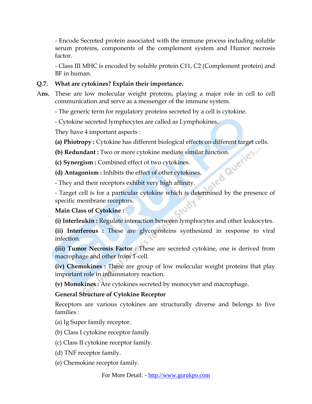- Encode Secreted protein associated with the immune process including soluble serum proteins, components of the complement system and Humor necrosis factor.

 - Class III MHC is encoded by soluble protein C11, C2 (Complement protein) and BF in human.

#### **Q.7. What are cytokines? Explain their importance.**

- A**ns.** These are low molecular weight proteins, playing a major role in cell to cell communication and serve as a messenger of the immune system.
	- The generic term for regulatory proteins secreted by a cell is cytokine.
	- Cytokine secreted lymphocytes are called as Lymphokines.

They have 4 important aspects :

- 
- **(a) Phiotropy :** Cytokine has different biological effects on different target cells.<br> **(b) Redundant :** Two or more cytokine mediate similar function.<br> **(c) Synergism :** Combined effect of two cytokines.<br> **(d) Antagonism (b) Redundant :** Two or more cytokine mediate similar function.
- **(c) Synergism :** Combined effect of two cytokines.
- **(d) Antagonism :** Inhibits the effect of other cytokines.

- They and their receptors exhibit very high affinity.

- Target cell is for a particular cytokine which is determined by the presence of specific membrane receptors.

# **Main Class of Cytokine :**

**(i) Interleukin :** Regulate interaction between lymphocytes and other leukocytes.

**(ii) Interferous :** These are glycoproteins synthesized in response to viral infection.

**(iii) Tumor Necrosis Factor :** These are secreted cytokine, one is derived from macrophage and other from T-cell.

**(iv) Chemokines :** These are group of low molecular weight proteins that play important role in inflammatory reaction.

**(v) Monokines :** Are cytokines secreted by monocyter and macrophage.

# **General Structure of Cytokine Receptor**

 Receptors are various cytokines are structurally diverse and belongs to five families :

(a) Ig Super family receptor.

(b) Class I cytokine receptor family.

(c) Class II cytokine receptor family.

(d) TNF receptor family.

(e) Chemokine receptor family.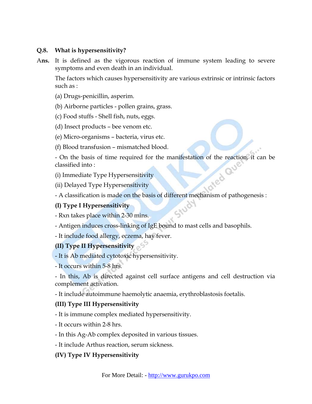## **Q.8. What is hypersensitivity?**

A**ns.** It is defined as the vigorous reaction of immune system leading to severe symptoms and even death in an individual.

 The factors which causes hypersensitivity are various extrinsic or intrinsic factors such as :

- (a) Drugs-penicillin, asperim.
- (b) Airborne particles pollen grains, grass.
- (c) Food stuffs Shell fish, nuts, eggs.
- (d) Insect products bee venom etc.
- (e) Micro-organisms bacteria, virus etc.
- (f) Blood transfusion mismatched blood.

- On the basis of time required for the manifestation of the reaction, it can be classified into :<br>(i) Immediate Type Hypersensitivity<br>(ii) Delaved Type II classified into :

(i) Immediate Type Hypersensitivity

(ii) Delayed Type Hypersensitivity

- A classification is made on the basis of different mechanism of pathogenesis :

# **(I) Type I Hypersensitivity**

- Rxn takes place within 2-30 mins.

- Antigen induces cross-linking of IgE bound to mast cells and basophils.

- It include food allergy, eczema, hay fever.

# **(II) Type II Hypersensitivity**

- It is Ab mediated cytotoxic hypersensitivity.

- It occurs within 5-8 hrs.

 - In this, Ab is directed against cell surface antigens and cell destruction via complement activation.

- It include autoimmune haemolytic anaemia, erythroblastosis foetalis.

# **(III) Type III Hypersensitivity**

- It is immune complex mediated hypersensitivity.

- It occurs within 2-8 hrs.
- In this Ag-Ab complex deposited in various tissues.
- It include Arthus reaction, serum sickness.

# **(IV) Type IV Hypersensitivity**